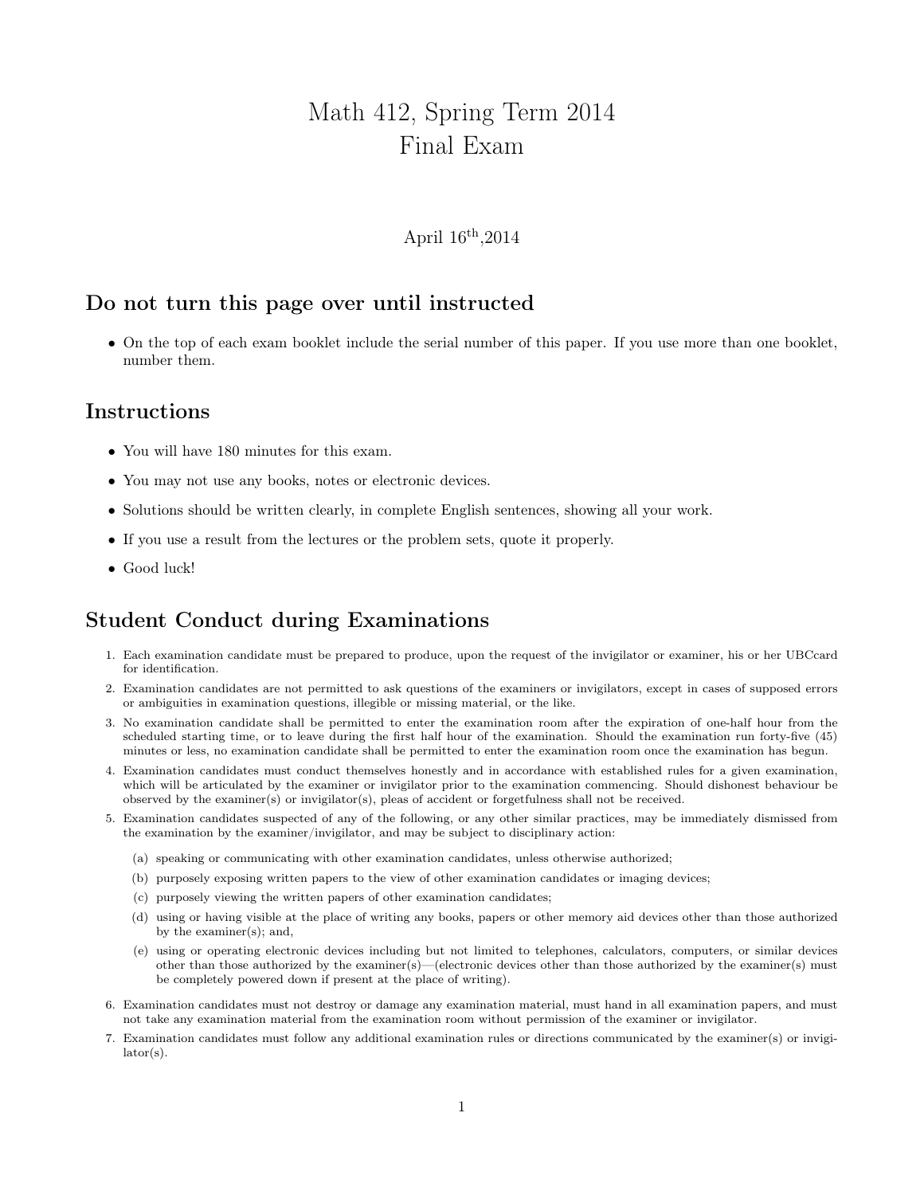# Math 412, Spring Term 2014 Final Exam

#### April 16th ,2014

### Do not turn this page over until instructed

• On the top of each exam booklet include the serial number of this paper. If you use more than one booklet, number them.

### Instructions

- You will have 180 minutes for this exam.
- You may not use any books, notes or electronic devices.
- Solutions should be written clearly, in complete English sentences, showing all your work.
- If you use a result from the lectures or the problem sets, quote it properly.
- Good luck!

## Student Conduct during Examinations

- 1. Each examination candidate must be prepared to produce, upon the request of the invigilator or examiner, his or her UBCcard for identification.
- 2. Examination candidates are not permitted to ask questions of the examiners or invigilators, except in cases of supposed errors or ambiguities in examination questions, illegible or missing material, or the like.
- 3. No examination candidate shall be permitted to enter the examination room after the expiration of one-half hour from the scheduled starting time, or to leave during the first half hour of the examination. Should the examination run forty-five (45) minutes or less, no examination candidate shall be permitted to enter the examination room once the examination has begun.
- 4. Examination candidates must conduct themselves honestly and in accordance with established rules for a given examination, which will be articulated by the examiner or invigilator prior to the examination commencing. Should dishonest behaviour be observed by the examiner(s) or invigilator(s), pleas of accident or forgetfulness shall not be received.
- 5. Examination candidates suspected of any of the following, or any other similar practices, may be immediately dismissed from the examination by the examiner/invigilator, and may be subject to disciplinary action:
	- (a) speaking or communicating with other examination candidates, unless otherwise authorized;
	- (b) purposely exposing written papers to the view of other examination candidates or imaging devices;
	- (c) purposely viewing the written papers of other examination candidates;
	- (d) using or having visible at the place of writing any books, papers or other memory aid devices other than those authorized by the examiner(s); and,
	- (e) using or operating electronic devices including but not limited to telephones, calculators, computers, or similar devices other than those authorized by the examiner(s)—(electronic devices other than those authorized by the examiner(s) must be completely powered down if present at the place of writing).
- 6. Examination candidates must not destroy or damage any examination material, must hand in all examination papers, and must not take any examination material from the examination room without permission of the examiner or invigilator.
- 7. Examination candidates must follow any additional examination rules or directions communicated by the examiner(s) or invigilator(s).